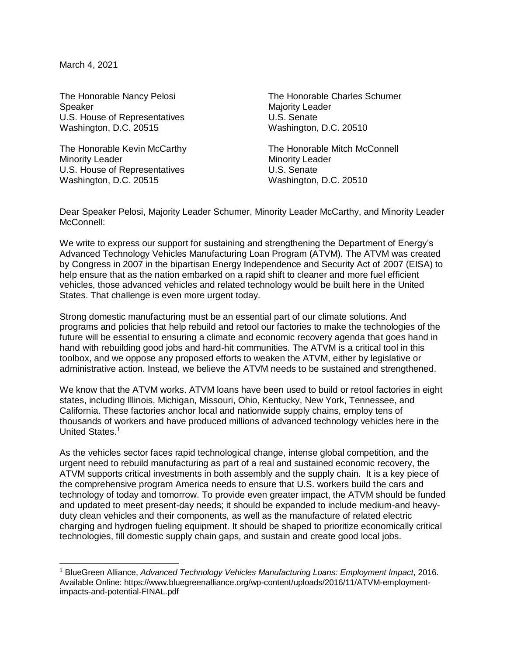March 4, 2021

 $\overline{a}$ 

Speaker Majority Leader U.S. House of Representatives U.S. Senate Washington, D.C. 20515 Washington, D.C. 20510

Minority Leader **Minority Leader** Minority Leader U.S. House of Representatives U.S. Senate Washington, D.C. 20515 Washington, D.C. 20510

The Honorable Nancy Pelosi The Honorable Charles Schumer

The Honorable Kevin McCarthy The Honorable Mitch McConnell

Dear Speaker Pelosi, Majority Leader Schumer, Minority Leader McCarthy, and Minority Leader McConnell:

We write to express our support for sustaining and strengthening the Department of Energy's Advanced Technology Vehicles Manufacturing Loan Program (ATVM). The ATVM was created by Congress in 2007 in the bipartisan Energy Independence and Security Act of 2007 (EISA) to help ensure that as the nation embarked on a rapid shift to cleaner and more fuel efficient vehicles, those advanced vehicles and related technology would be built here in the United States. That challenge is even more urgent today.

Strong domestic manufacturing must be an essential part of our climate solutions. And programs and policies that help rebuild and retool our factories to make the technologies of the future will be essential to ensuring a climate and economic recovery agenda that goes hand in hand with rebuilding good jobs and hard-hit communities. The ATVM is a critical tool in this toolbox, and we oppose any proposed efforts to weaken the ATVM, either by legislative or administrative action. Instead, we believe the ATVM needs to be sustained and strengthened.

We know that the ATVM works. ATVM loans have been used to build or retool factories in eight states, including Illinois, Michigan, Missouri, Ohio, Kentucky, New York, Tennessee, and California. These factories anchor local and nationwide supply chains, employ tens of thousands of workers and have produced millions of advanced technology vehicles here in the United States.<sup>1</sup>

As the vehicles sector faces rapid technological change, intense global competition, and the urgent need to rebuild manufacturing as part of a real and sustained economic recovery, the ATVM supports critical investments in both assembly and the supply chain. It is a key piece of the comprehensive program America needs to ensure that U.S. workers build the cars and technology of today and tomorrow. To provide even greater impact, the ATVM should be funded and updated to meet present-day needs; it should be expanded to include medium-and heavyduty clean vehicles and their components, as well as the manufacture of related electric charging and hydrogen fueling equipment. It should be shaped to prioritize economically critical technologies, fill domestic supply chain gaps, and sustain and create good local jobs.

<sup>1</sup> BlueGreen Alliance, *Advanced Technology Vehicles Manufacturing Loans: Employment Impact*, 2016. Available Online: https://www.bluegreenalliance.org/wp-content/uploads/2016/11/ATVM-employmentimpacts-and-potential-FINAL.pdf